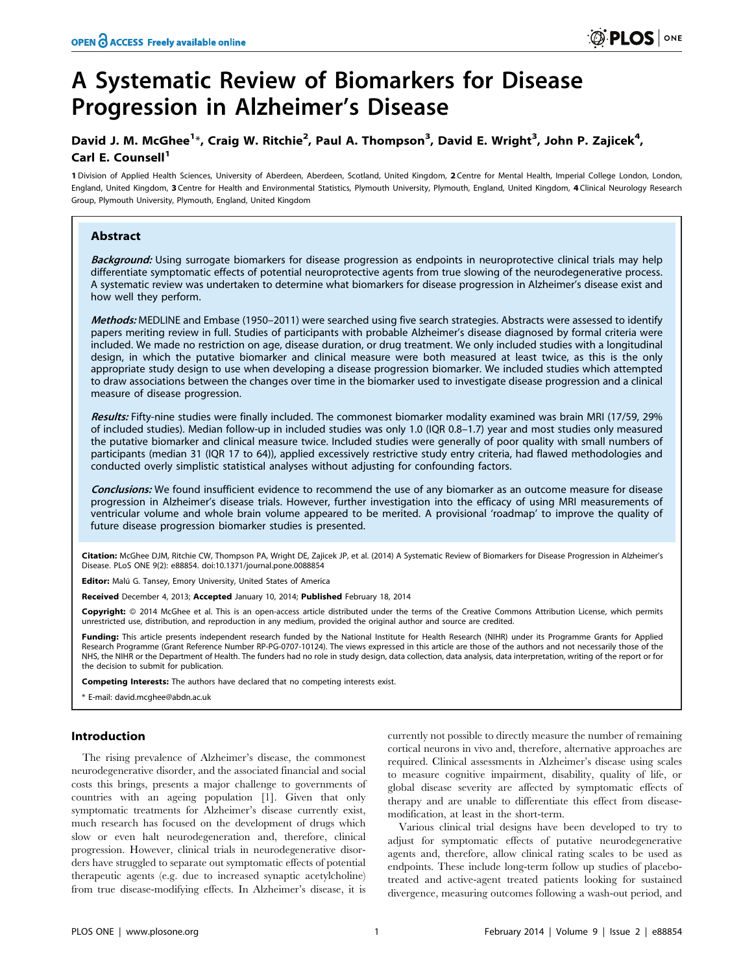# A Systematic Review of Biomarkers for Disease Progression in Alzheimer's Disease

# David J. M. McGhee<sup>1\*</sup>, Craig W. Ritchie<sup>2</sup>, Paul A. Thompson<sup>3</sup>, David E. Wright<sup>3</sup>, John P. Zajicek<sup>4</sup>, Carl E. Counsell<sup>1</sup>

1 Division of Applied Health Sciences, University of Aberdeen, Aberdeen, Scotland, United Kingdom, 2 Centre for Mental Health, Imperial College London, London, England, United Kingdom, 3 Centre for Health and Environmental Statistics, Plymouth University, Plymouth, England, United Kingdom, 4 Clinical Neurology Research Group, Plymouth University, Plymouth, England, United Kingdom

# Abstract

Background: Using surrogate biomarkers for disease progression as endpoints in neuroprotective clinical trials may help differentiate symptomatic effects of potential neuroprotective agents from true slowing of the neurodegenerative process. A systematic review was undertaken to determine what biomarkers for disease progression in Alzheimer's disease exist and how well they perform.

Methods: MEDLINE and Embase (1950–2011) were searched using five search strategies. Abstracts were assessed to identify papers meriting review in full. Studies of participants with probable Alzheimer's disease diagnosed by formal criteria were included. We made no restriction on age, disease duration, or drug treatment. We only included studies with a longitudinal design, in which the putative biomarker and clinical measure were both measured at least twice, as this is the only appropriate study design to use when developing a disease progression biomarker. We included studies which attempted to draw associations between the changes over time in the biomarker used to investigate disease progression and a clinical measure of disease progression.

Results: Fifty-nine studies were finally included. The commonest biomarker modality examined was brain MRI (17/59, 29% of included studies). Median follow-up in included studies was only 1.0 (IQR 0.8–1.7) year and most studies only measured the putative biomarker and clinical measure twice. Included studies were generally of poor quality with small numbers of participants (median 31 (IQR 17 to 64)), applied excessively restrictive study entry criteria, had flawed methodologies and conducted overly simplistic statistical analyses without adjusting for confounding factors.

Conclusions: We found insufficient evidence to recommend the use of any biomarker as an outcome measure for disease progression in Alzheimer's disease trials. However, further investigation into the efficacy of using MRI measurements of ventricular volume and whole brain volume appeared to be merited. A provisional 'roadmap' to improve the quality of future disease progression biomarker studies is presented.

Citation: McGhee DJM, Ritchie CW, Thompson PA, Wright DE, Zajicek JP, et al. (2014) A Systematic Review of Biomarkers for Disease Progression in Alzheimer's Disease. PLoS ONE 9(2): e88854. doi:10.1371/journal.pone.0088854

Editor: Malú G. Tansey, Emory University, United States of America

Received December 4, 2013; Accepted January 10, 2014; Published February 18, 2014

Copyright: © 2014 McGhee et al. This is an open-access article distributed under the terms of the [Creative Commons Attribution License,](http://creativecommons.org/licenses/by/4.0/) which permits unrestricted use, distribution, and reproduction in any medium, provided the original author and source are credited.

**Funding:** This article presents independent research funded by the National Institute for Health Research (NIHR) under its Programme Grants for Applied<br>Research Programme (Grant Reference Number RP-PG-0707-10124). The vie NHS, the NIHR or the Department of Health. The funders had no role in study design, data collection, data analysis, data interpretation, writing of the report or for the decision to submit for publication.

Competing Interests: The authors have declared that no competing interests exist.

\* E-mail: david.mcghee@abdn.ac.uk

# Introduction

The rising prevalence of Alzheimer's disease, the commonest neurodegenerative disorder, and the associated financial and social costs this brings, presents a major challenge to governments of countries with an ageing population [1]. Given that only symptomatic treatments for Alzheimer's disease currently exist, much research has focused on the development of drugs which slow or even halt neurodegeneration and, therefore, clinical progression. However, clinical trials in neurodegenerative disorders have struggled to separate out symptomatic effects of potential therapeutic agents (e.g. due to increased synaptic acetylcholine) from true disease-modifying effects. In Alzheimer's disease, it is

currently not possible to directly measure the number of remaining cortical neurons in vivo and, therefore, alternative approaches are required. Clinical assessments in Alzheimer's disease using scales to measure cognitive impairment, disability, quality of life, or global disease severity are affected by symptomatic effects of therapy and are unable to differentiate this effect from diseasemodification, at least in the short-term.

Various clinical trial designs have been developed to try to adjust for symptomatic effects of putative neurodegenerative agents and, therefore, allow clinical rating scales to be used as endpoints. These include long-term follow up studies of placebotreated and active-agent treated patients looking for sustained divergence, measuring outcomes following a wash-out period, and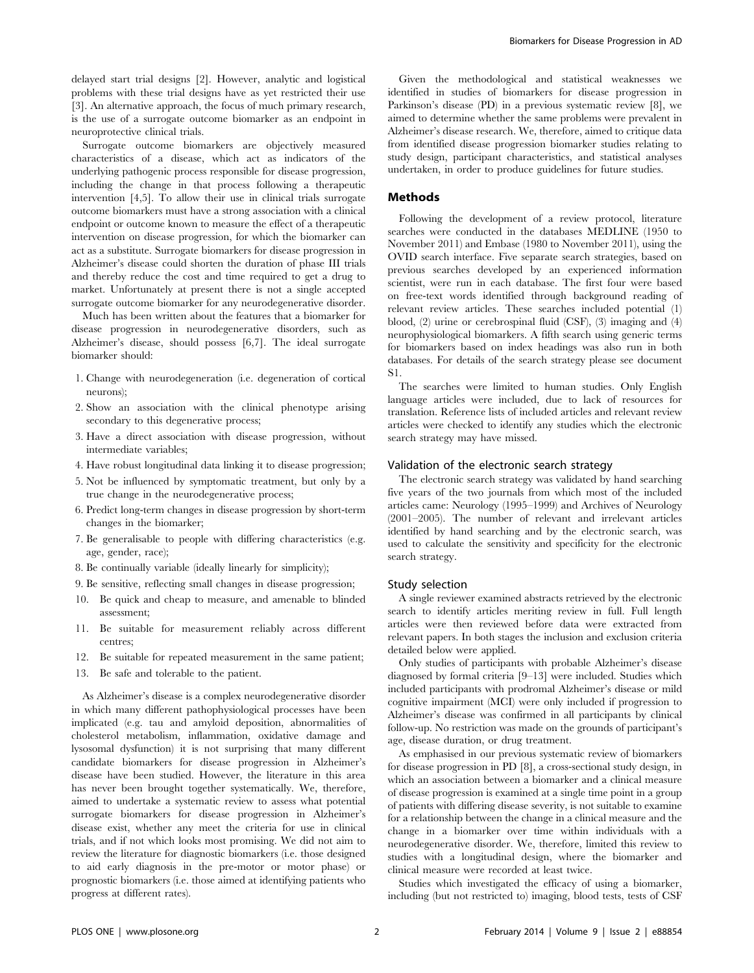delayed start trial designs [2]. However, analytic and logistical problems with these trial designs have as yet restricted their use [3]. An alternative approach, the focus of much primary research, is the use of a surrogate outcome biomarker as an endpoint in neuroprotective clinical trials.

Surrogate outcome biomarkers are objectively measured characteristics of a disease, which act as indicators of the underlying pathogenic process responsible for disease progression, including the change in that process following a therapeutic intervention [4,5]. To allow their use in clinical trials surrogate outcome biomarkers must have a strong association with a clinical endpoint or outcome known to measure the effect of a therapeutic intervention on disease progression, for which the biomarker can act as a substitute. Surrogate biomarkers for disease progression in Alzheimer's disease could shorten the duration of phase III trials and thereby reduce the cost and time required to get a drug to market. Unfortunately at present there is not a single accepted surrogate outcome biomarker for any neurodegenerative disorder.

Much has been written about the features that a biomarker for disease progression in neurodegenerative disorders, such as Alzheimer's disease, should possess [6,7]. The ideal surrogate biomarker should:

- 1. Change with neurodegeneration (i.e. degeneration of cortical neurons);
- 2. Show an association with the clinical phenotype arising secondary to this degenerative process;
- 3. Have a direct association with disease progression, without intermediate variables;
- 4. Have robust longitudinal data linking it to disease progression;
- 5. Not be influenced by symptomatic treatment, but only by a true change in the neurodegenerative process;
- 6. Predict long-term changes in disease progression by short-term changes in the biomarker;
- 7. Be generalisable to people with differing characteristics (e.g. age, gender, race);
- 8. Be continually variable (ideally linearly for simplicity);
- 9. Be sensitive, reflecting small changes in disease progression;
- 10. Be quick and cheap to measure, and amenable to blinded assessment;
- 11. Be suitable for measurement reliably across different centres;
- 12. Be suitable for repeated measurement in the same patient;
- 13. Be safe and tolerable to the patient.

As Alzheimer's disease is a complex neurodegenerative disorder in which many different pathophysiological processes have been implicated (e.g. tau and amyloid deposition, abnormalities of cholesterol metabolism, inflammation, oxidative damage and lysosomal dysfunction) it is not surprising that many different candidate biomarkers for disease progression in Alzheimer's disease have been studied. However, the literature in this area has never been brought together systematically. We, therefore, aimed to undertake a systematic review to assess what potential surrogate biomarkers for disease progression in Alzheimer's disease exist, whether any meet the criteria for use in clinical trials, and if not which looks most promising. We did not aim to review the literature for diagnostic biomarkers (i.e. those designed to aid early diagnosis in the pre-motor or motor phase) or prognostic biomarkers (i.e. those aimed at identifying patients who progress at different rates).

Given the methodological and statistical weaknesses we identified in studies of biomarkers for disease progression in Parkinson's disease (PD) in a previous systematic review [8], we aimed to determine whether the same problems were prevalent in Alzheimer's disease research. We, therefore, aimed to critique data from identified disease progression biomarker studies relating to study design, participant characteristics, and statistical analyses undertaken, in order to produce guidelines for future studies.

## Methods

Following the development of a review protocol, literature searches were conducted in the databases MEDLINE (1950 to November 2011) and Embase (1980 to November 2011), using the OVID search interface. Five separate search strategies, based on previous searches developed by an experienced information scientist, were run in each database. The first four were based on free-text words identified through background reading of relevant review articles. These searches included potential (1) blood, (2) urine or cerebrospinal fluid (CSF), (3) imaging and (4) neurophysiological biomarkers. A fifth search using generic terms for biomarkers based on index headings was also run in both databases. For details of the search strategy please see document S1.

The searches were limited to human studies. Only English language articles were included, due to lack of resources for translation. Reference lists of included articles and relevant review articles were checked to identify any studies which the electronic search strategy may have missed.

#### Validation of the electronic search strategy

The electronic search strategy was validated by hand searching five years of the two journals from which most of the included articles came: Neurology (1995–1999) and Archives of Neurology (2001–2005). The number of relevant and irrelevant articles identified by hand searching and by the electronic search, was used to calculate the sensitivity and specificity for the electronic search strategy.

#### Study selection

A single reviewer examined abstracts retrieved by the electronic search to identify articles meriting review in full. Full length articles were then reviewed before data were extracted from relevant papers. In both stages the inclusion and exclusion criteria detailed below were applied.

Only studies of participants with probable Alzheimer's disease diagnosed by formal criteria [9–13] were included. Studies which included participants with prodromal Alzheimer's disease or mild cognitive impairment (MCI) were only included if progression to Alzheimer's disease was confirmed in all participants by clinical follow-up. No restriction was made on the grounds of participant's age, disease duration, or drug treatment.

As emphasised in our previous systematic review of biomarkers for disease progression in PD [8], a cross-sectional study design, in which an association between a biomarker and a clinical measure of disease progression is examined at a single time point in a group of patients with differing disease severity, is not suitable to examine for a relationship between the change in a clinical measure and the change in a biomarker over time within individuals with a neurodegenerative disorder. We, therefore, limited this review to studies with a longitudinal design, where the biomarker and clinical measure were recorded at least twice.

Studies which investigated the efficacy of using a biomarker, including (but not restricted to) imaging, blood tests, tests of CSF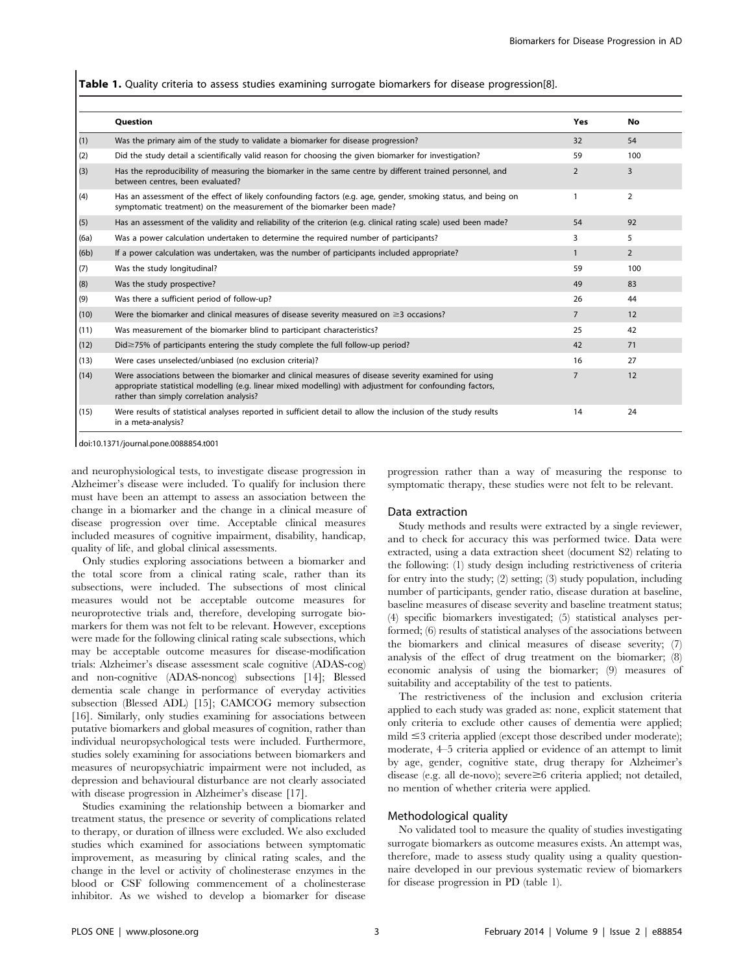Table 1. Quality criteria to assess studies examining surrogate biomarkers for disease progression[8].

|      | <b>Question</b>                                                                                                                                                                                                                                              | Yes            | No             |
|------|--------------------------------------------------------------------------------------------------------------------------------------------------------------------------------------------------------------------------------------------------------------|----------------|----------------|
| (1)  | Was the primary aim of the study to validate a biomarker for disease progression?                                                                                                                                                                            | 32             | 54             |
| (2)  | Did the study detail a scientifically valid reason for choosing the given biomarker for investigation?                                                                                                                                                       | 59             | 100            |
| (3)  | Has the reproducibility of measuring the biomarker in the same centre by different trained personnel, and<br>between centres, been evaluated?                                                                                                                | $\overline{2}$ | 3              |
| (4)  | Has an assessment of the effect of likely confounding factors (e.g. age, gender, smoking status, and being on<br>symptomatic treatment) on the measurement of the biomarker been made?                                                                       | $\mathbf{1}$   | $\overline{2}$ |
| (5)  | Has an assessment of the validity and reliability of the criterion (e.g. clinical rating scale) used been made?                                                                                                                                              | 54             | 92             |
| (6a) | Was a power calculation undertaken to determine the required number of participants?                                                                                                                                                                         | 3              | 5              |
| (6b) | If a power calculation was undertaken, was the number of participants included appropriate?                                                                                                                                                                  | $\mathbf{1}$   | $\overline{2}$ |
| (7)  | Was the study longitudinal?                                                                                                                                                                                                                                  | 59             | 100            |
| (8)  | Was the study prospective?                                                                                                                                                                                                                                   | 49             | 83             |
| (9)  | Was there a sufficient period of follow-up?                                                                                                                                                                                                                  | 26             | 44             |
| (10) | Were the biomarker and clinical measures of disease severity measured on $\geq 3$ occasions?                                                                                                                                                                 | $\overline{7}$ | 12             |
| (11) | Was measurement of the biomarker blind to participant characteristics?                                                                                                                                                                                       | 25             | 42             |
| (12) | Did $\geq$ 75% of participants entering the study complete the full follow-up period?                                                                                                                                                                        | 42             | 71             |
| (13) | Were cases unselected/unbiased (no exclusion criteria)?                                                                                                                                                                                                      | 16             | 27             |
| (14) | Were associations between the biomarker and clinical measures of disease severity examined for using<br>appropriate statistical modelling (e.g. linear mixed modelling) with adjustment for confounding factors,<br>rather than simply correlation analysis? | $\overline{7}$ | 12             |
| (15) | Were results of statistical analyses reported in sufficient detail to allow the inclusion of the study results<br>in a meta-analysis?                                                                                                                        | 14             | 24             |

doi:10.1371/journal.pone.0088854.t001

and neurophysiological tests, to investigate disease progression in Alzheimer's disease were included. To qualify for inclusion there must have been an attempt to assess an association between the change in a biomarker and the change in a clinical measure of disease progression over time. Acceptable clinical measures included measures of cognitive impairment, disability, handicap, quality of life, and global clinical assessments.

Only studies exploring associations between a biomarker and the total score from a clinical rating scale, rather than its subsections, were included. The subsections of most clinical measures would not be acceptable outcome measures for neuroprotective trials and, therefore, developing surrogate biomarkers for them was not felt to be relevant. However, exceptions were made for the following clinical rating scale subsections, which may be acceptable outcome measures for disease-modification trials: Alzheimer's disease assessment scale cognitive (ADAS-cog) and non-cognitive (ADAS-noncog) subsections [14]; Blessed dementia scale change in performance of everyday activities subsection (Blessed ADL) [15]; CAMCOG memory subsection [16]. Similarly, only studies examining for associations between putative biomarkers and global measures of cognition, rather than individual neuropsychological tests were included. Furthermore, studies solely examining for associations between biomarkers and measures of neuropsychiatric impairment were not included, as depression and behavioural disturbance are not clearly associated with disease progression in Alzheimer's disease [17].

Studies examining the relationship between a biomarker and treatment status, the presence or severity of complications related to therapy, or duration of illness were excluded. We also excluded studies which examined for associations between symptomatic improvement, as measuring by clinical rating scales, and the change in the level or activity of cholinesterase enzymes in the blood or CSF following commencement of a cholinesterase inhibitor. As we wished to develop a biomarker for disease

progression rather than a way of measuring the response to symptomatic therapy, these studies were not felt to be relevant.

#### Data extraction

Study methods and results were extracted by a single reviewer, and to check for accuracy this was performed twice. Data were extracted, using a data extraction sheet (document S2) relating to the following: (1) study design including restrictiveness of criteria for entry into the study; (2) setting; (3) study population, including number of participants, gender ratio, disease duration at baseline, baseline measures of disease severity and baseline treatment status; (4) specific biomarkers investigated; (5) statistical analyses performed; (6) results of statistical analyses of the associations between the biomarkers and clinical measures of disease severity; (7) analysis of the effect of drug treatment on the biomarker; (8) economic analysis of using the biomarker; (9) measures of suitability and acceptability of the test to patients.

The restrictiveness of the inclusion and exclusion criteria applied to each study was graded as: none, explicit statement that only criteria to exclude other causes of dementia were applied; mild  $\leq$ 3 criteria applied (except those described under moderate); moderate, 4–5 criteria applied or evidence of an attempt to limit by age, gender, cognitive state, drug therapy for Alzheimer's disease (e.g. all de-novo); severe $\geq 6$  criteria applied; not detailed, no mention of whether criteria were applied.

## Methodological quality

No validated tool to measure the quality of studies investigating surrogate biomarkers as outcome measures exists. An attempt was, therefore, made to assess study quality using a quality questionnaire developed in our previous systematic review of biomarkers for disease progression in PD (table 1).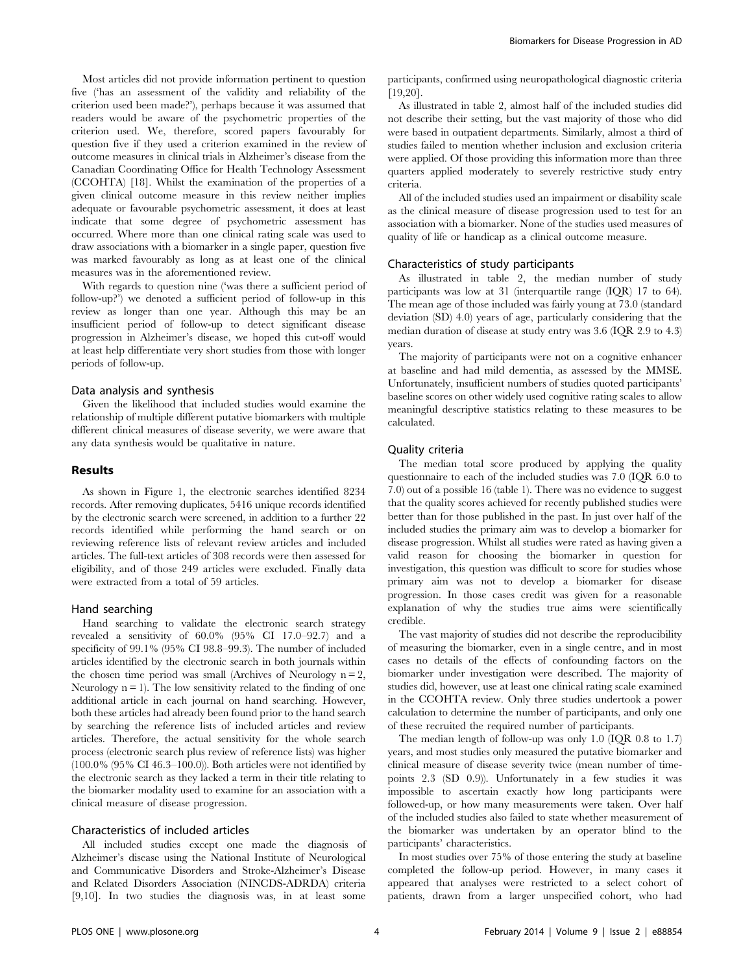Most articles did not provide information pertinent to question five ('has an assessment of the validity and reliability of the criterion used been made?'), perhaps because it was assumed that readers would be aware of the psychometric properties of the criterion used. We, therefore, scored papers favourably for question five if they used a criterion examined in the review of outcome measures in clinical trials in Alzheimer's disease from the Canadian Coordinating Office for Health Technology Assessment (CCOHTA) [18]. Whilst the examination of the properties of a given clinical outcome measure in this review neither implies adequate or favourable psychometric assessment, it does at least indicate that some degree of psychometric assessment has occurred. Where more than one clinical rating scale was used to draw associations with a biomarker in a single paper, question five was marked favourably as long as at least one of the clinical measures was in the aforementioned review.

With regards to question nine ('was there a sufficient period of follow-up?') we denoted a sufficient period of follow-up in this review as longer than one year. Although this may be an insufficient period of follow-up to detect significant disease progression in Alzheimer's disease, we hoped this cut-off would at least help differentiate very short studies from those with longer periods of follow-up.

#### Data analysis and synthesis

Given the likelihood that included studies would examine the relationship of multiple different putative biomarkers with multiple different clinical measures of disease severity, we were aware that any data synthesis would be qualitative in nature.

## Results

As shown in Figure 1, the electronic searches identified 8234 records. After removing duplicates, 5416 unique records identified by the electronic search were screened, in addition to a further 22 records identified while performing the hand search or on reviewing reference lists of relevant review articles and included articles. The full-text articles of 308 records were then assessed for eligibility, and of those 249 articles were excluded. Finally data were extracted from a total of 59 articles.

#### Hand searching

Hand searching to validate the electronic search strategy revealed a sensitivity of 60.0% (95% CI 17.0–92.7) and a specificity of 99.1% (95% CI 98.8–99.3). The number of included articles identified by the electronic search in both journals within the chosen time period was small (Archives of Neurology  $n = 2$ , Neurology  $n = 1$ ). The low sensitivity related to the finding of one additional article in each journal on hand searching. However, both these articles had already been found prior to the hand search by searching the reference lists of included articles and review articles. Therefore, the actual sensitivity for the whole search process (electronic search plus review of reference lists) was higher (100.0% (95% CI 46.3–100.0)). Both articles were not identified by the electronic search as they lacked a term in their title relating to the biomarker modality used to examine for an association with a clinical measure of disease progression.

## Characteristics of included articles

All included studies except one made the diagnosis of Alzheimer's disease using the National Institute of Neurological and Communicative Disorders and Stroke-Alzheimer's Disease and Related Disorders Association (NINCDS-ADRDA) criteria [9,10]. In two studies the diagnosis was, in at least some

participants, confirmed using neuropathological diagnostic criteria [19,20].

As illustrated in table 2, almost half of the included studies did not describe their setting, but the vast majority of those who did were based in outpatient departments. Similarly, almost a third of studies failed to mention whether inclusion and exclusion criteria were applied. Of those providing this information more than three quarters applied moderately to severely restrictive study entry criteria.

All of the included studies used an impairment or disability scale as the clinical measure of disease progression used to test for an association with a biomarker. None of the studies used measures of quality of life or handicap as a clinical outcome measure.

#### Characteristics of study participants

As illustrated in table 2, the median number of study participants was low at 31 (interquartile range (IQR) 17 to 64). The mean age of those included was fairly young at 73.0 (standard deviation (SD) 4.0) years of age, particularly considering that the median duration of disease at study entry was 3.6 (IQR 2.9 to 4.3) years.

The majority of participants were not on a cognitive enhancer at baseline and had mild dementia, as assessed by the MMSE. Unfortunately, insufficient numbers of studies quoted participants' baseline scores on other widely used cognitive rating scales to allow meaningful descriptive statistics relating to these measures to be calculated.

#### Quality criteria

The median total score produced by applying the quality questionnaire to each of the included studies was 7.0 (IQR 6.0 to 7.0) out of a possible 16 (table 1). There was no evidence to suggest that the quality scores achieved for recently published studies were better than for those published in the past. In just over half of the included studies the primary aim was to develop a biomarker for disease progression. Whilst all studies were rated as having given a valid reason for choosing the biomarker in question for investigation, this question was difficult to score for studies whose primary aim was not to develop a biomarker for disease progression. In those cases credit was given for a reasonable explanation of why the studies true aims were scientifically credible.

The vast majority of studies did not describe the reproducibility of measuring the biomarker, even in a single centre, and in most cases no details of the effects of confounding factors on the biomarker under investigation were described. The majority of studies did, however, use at least one clinical rating scale examined in the CCOHTA review. Only three studies undertook a power calculation to determine the number of participants, and only one of these recruited the required number of participants.

The median length of follow-up was only 1.0 (IQR 0.8 to 1.7) years, and most studies only measured the putative biomarker and clinical measure of disease severity twice (mean number of timepoints 2.3 (SD 0.9)). Unfortunately in a few studies it was impossible to ascertain exactly how long participants were followed-up, or how many measurements were taken. Over half of the included studies also failed to state whether measurement of the biomarker was undertaken by an operator blind to the participants' characteristics.

In most studies over 75% of those entering the study at baseline completed the follow-up period. However, in many cases it appeared that analyses were restricted to a select cohort of patients, drawn from a larger unspecified cohort, who had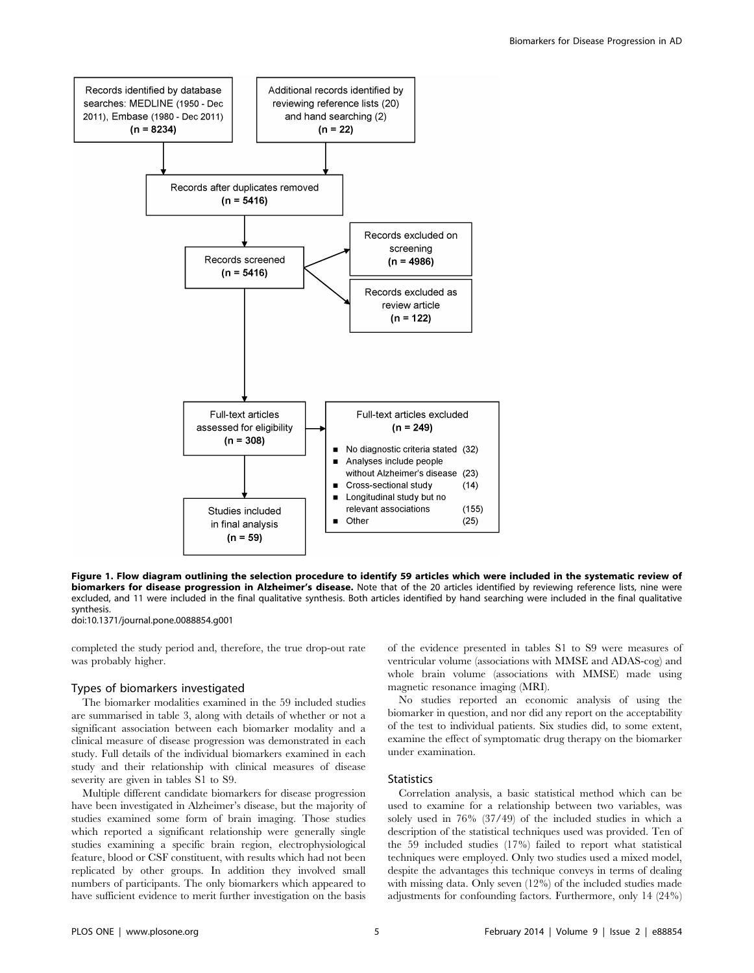

Figure 1. Flow diagram outlining the selection procedure to identify 59 articles which were included in the systematic review of biomarkers for disease progression in Alzheimer's disease. Note that of the 20 articles identified by reviewing reference lists, nine were excluded, and 11 were included in the final qualitative synthesis. Both articles identified by hand searching were included in the final qualitative synthesis. doi:10.1371/journal.pone.0088854.g001

completed the study period and, therefore, the true drop-out rate was probably higher.

## Types of biomarkers investigated

The biomarker modalities examined in the 59 included studies are summarised in table 3, along with details of whether or not a significant association between each biomarker modality and a clinical measure of disease progression was demonstrated in each study. Full details of the individual biomarkers examined in each study and their relationship with clinical measures of disease severity are given in tables S1 to S9.

Multiple different candidate biomarkers for disease progression have been investigated in Alzheimer's disease, but the majority of studies examined some form of brain imaging. Those studies which reported a significant relationship were generally single studies examining a specific brain region, electrophysiological feature, blood or CSF constituent, with results which had not been replicated by other groups. In addition they involved small numbers of participants. The only biomarkers which appeared to have sufficient evidence to merit further investigation on the basis of the evidence presented in tables S1 to S9 were measures of ventricular volume (associations with MMSE and ADAS-cog) and whole brain volume (associations with MMSE) made using magnetic resonance imaging (MRI).

No studies reported an economic analysis of using the biomarker in question, and nor did any report on the acceptability of the test to individual patients. Six studies did, to some extent, examine the effect of symptomatic drug therapy on the biomarker under examination.

# **Statistics**

Correlation analysis, a basic statistical method which can be used to examine for a relationship between two variables, was solely used in 76% (37/49) of the included studies in which a description of the statistical techniques used was provided. Ten of the 59 included studies (17%) failed to report what statistical techniques were employed. Only two studies used a mixed model, despite the advantages this technique conveys in terms of dealing with missing data. Only seven (12%) of the included studies made adjustments for confounding factors. Furthermore, only 14 (24%)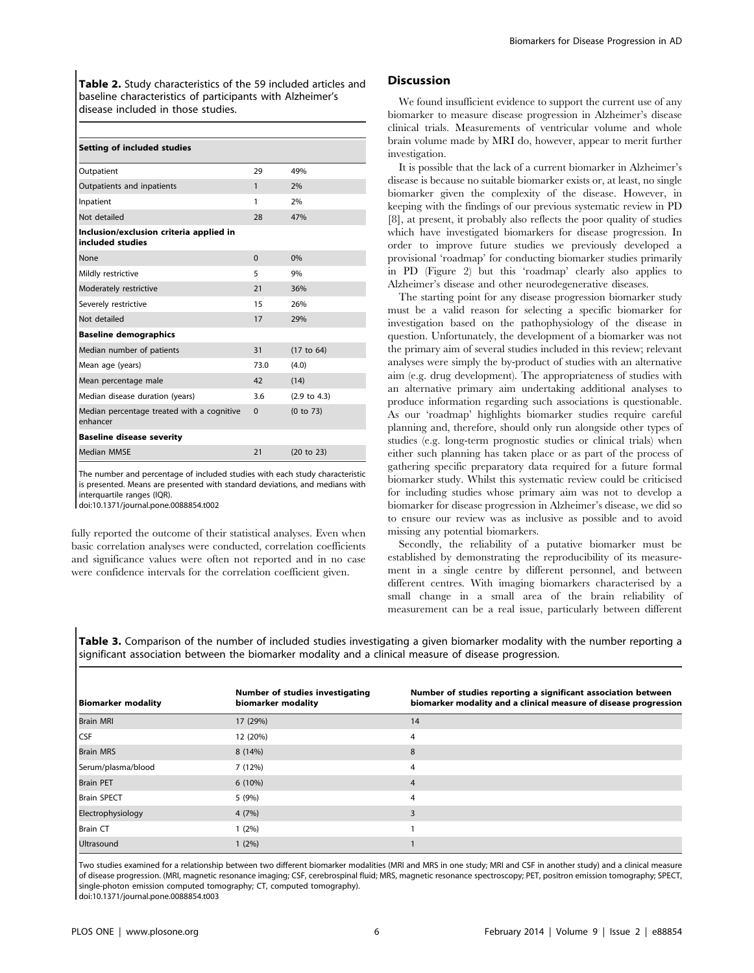Table 2. Study characteristics of the 59 included articles and baseline characteristics of participants with Alzheimer's disease included in those studies.

| <b>Setting of included studies</b>                          |          |                         |  |  |  |
|-------------------------------------------------------------|----------|-------------------------|--|--|--|
| Outpatient                                                  | 29       | 49%                     |  |  |  |
| Outpatients and inpatients                                  | 1        | 2%                      |  |  |  |
| Inpatient                                                   | 1        | 2%                      |  |  |  |
| Not detailed                                                | 28       | 47%                     |  |  |  |
| Inclusion/exclusion criteria applied in<br>included studies |          |                         |  |  |  |
| None                                                        | $\Omega$ | 0%                      |  |  |  |
| Mildly restrictive                                          | 5        | 9%                      |  |  |  |
| Moderately restrictive                                      | 21       | 36%                     |  |  |  |
| Severely restrictive                                        | 15       | 26%                     |  |  |  |
| Not detailed                                                | 17       | 29%                     |  |  |  |
| <b>Baseline demographics</b>                                |          |                         |  |  |  |
| Median number of patients                                   | 31       | (17 to 64)              |  |  |  |
| Mean age (years)                                            | 73.0     | (4.0)                   |  |  |  |
| Mean percentage male                                        | 42       | (14)                    |  |  |  |
| Median disease duration (years)                             | 3.6      | $(2.9 \text{ to } 4.3)$ |  |  |  |
| Median percentage treated with a cognitive<br>enhancer      | $\Omega$ | (0 to 73)               |  |  |  |
| <b>Baseline disease severity</b>                            |          |                         |  |  |  |
| <b>Median MMSE</b>                                          | 21       | (20 to 23)              |  |  |  |

The number and percentage of included studies with each study characteristic is presented. Means are presented with standard deviations, and medians with interquartile ranges (IQR).

doi:10.1371/journal.pone.0088854.t002

fully reported the outcome of their statistical analyses. Even when basic correlation analyses were conducted, correlation coefficients and significance values were often not reported and in no case were confidence intervals for the correlation coefficient given.

# **Discussion**

We found insufficient evidence to support the current use of any biomarker to measure disease progression in Alzheimer's disease clinical trials. Measurements of ventricular volume and whole brain volume made by MRI do, however, appear to merit further investigation.

It is possible that the lack of a current biomarker in Alzheimer's disease is because no suitable biomarker exists or, at least, no single biomarker given the complexity of the disease. However, in keeping with the findings of our previous systematic review in PD [8], at present, it probably also reflects the poor quality of studies which have investigated biomarkers for disease progression. In order to improve future studies we previously developed a provisional 'roadmap' for conducting biomarker studies primarily in PD (Figure 2) but this 'roadmap' clearly also applies to Alzheimer's disease and other neurodegenerative diseases.

The starting point for any disease progression biomarker study must be a valid reason for selecting a specific biomarker for investigation based on the pathophysiology of the disease in question. Unfortunately, the development of a biomarker was not the primary aim of several studies included in this review; relevant analyses were simply the by-product of studies with an alternative aim (e.g. drug development). The appropriateness of studies with an alternative primary aim undertaking additional analyses to produce information regarding such associations is questionable. As our 'roadmap' highlights biomarker studies require careful planning and, therefore, should only run alongside other types of studies (e.g. long-term prognostic studies or clinical trials) when either such planning has taken place or as part of the process of gathering specific preparatory data required for a future formal biomarker study. Whilst this systematic review could be criticised for including studies whose primary aim was not to develop a biomarker for disease progression in Alzheimer's disease, we did so to ensure our review was as inclusive as possible and to avoid missing any potential biomarkers.

Secondly, the reliability of a putative biomarker must be established by demonstrating the reproducibility of its measurement in a single centre by different personnel, and between different centres. With imaging biomarkers characterised by a small change in a small area of the brain reliability of measurement can be a real issue, particularly between different

Table 3. Comparison of the number of included studies investigating a given biomarker modality with the number reporting a significant association between the biomarker modality and a clinical measure of disease progression.

| <b>Biomarker modality</b> | <b>Number of studies investigating</b><br>biomarker modality | Number of studies reporting a significant association between<br>biomarker modality and a clinical measure of disease progression |
|---------------------------|--------------------------------------------------------------|-----------------------------------------------------------------------------------------------------------------------------------|
| <b>Brain MRI</b>          | 17 (29%)                                                     | 14                                                                                                                                |
| <b>CSF</b>                | 12 (20%)                                                     | 4                                                                                                                                 |
| <b>Brain MRS</b>          | 8(14%)                                                       | 8                                                                                                                                 |
| Serum/plasma/blood        | 7 (12%)                                                      | 4                                                                                                                                 |
| <b>Brain PET</b>          | $6(10\%)$                                                    | $\overline{4}$                                                                                                                    |
| <b>Brain SPECT</b>        | 5 (9%)                                                       | 4                                                                                                                                 |
| Electrophysiology         | 4(7%)                                                        | 3                                                                                                                                 |
| <b>Brain CT</b>           | 1(2%)                                                        |                                                                                                                                   |
| <b>Ultrasound</b>         | 1(2%)                                                        |                                                                                                                                   |

Two studies examined for a relationship between two different biomarker modalities (MRI and MRS in one study; MRI and CSF in another study) and a clinical measure of disease progression. (MRI, magnetic resonance imaging; CSF, cerebrospinal fluid; MRS, magnetic resonance spectroscopy; PET, positron emission tomography; SPECT, single-photon emission computed tomography; CT, computed tomography).

doi:10.1371/journal.pone.0088854.t003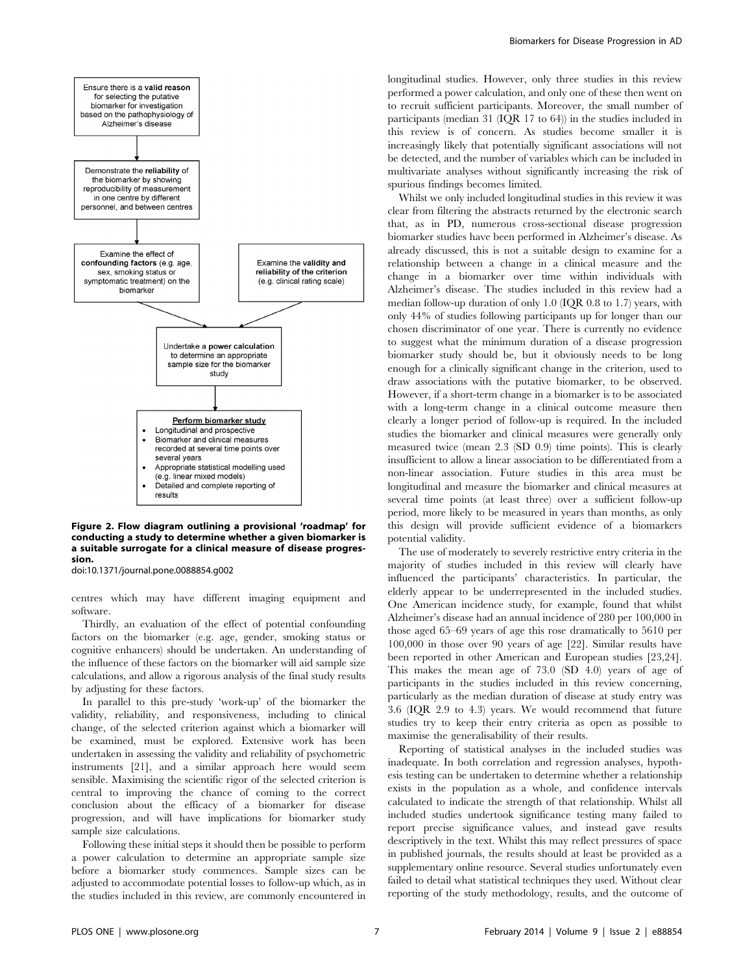

Figure 2. Flow diagram outlining a provisional 'roadmap' for conducting a study to determine whether a given biomarker is a suitable surrogate for a clinical measure of disease progression.

doi:10.1371/journal.pone.0088854.g002

centres which may have different imaging equipment and software.

Thirdly, an evaluation of the effect of potential confounding factors on the biomarker (e.g. age, gender, smoking status or cognitive enhancers) should be undertaken. An understanding of the influence of these factors on the biomarker will aid sample size calculations, and allow a rigorous analysis of the final study results by adjusting for these factors.

In parallel to this pre-study 'work-up' of the biomarker the validity, reliability, and responsiveness, including to clinical change, of the selected criterion against which a biomarker will be examined, must be explored. Extensive work has been undertaken in assessing the validity and reliability of psychometric instruments [21], and a similar approach here would seem sensible. Maximising the scientific rigor of the selected criterion is central to improving the chance of coming to the correct conclusion about the efficacy of a biomarker for disease progression, and will have implications for biomarker study sample size calculations.

Following these initial steps it should then be possible to perform a power calculation to determine an appropriate sample size before a biomarker study commences. Sample sizes can be adjusted to accommodate potential losses to follow-up which, as in the studies included in this review, are commonly encountered in longitudinal studies. However, only three studies in this review performed a power calculation, and only one of these then went on to recruit sufficient participants. Moreover, the small number of participants (median 31 (IQR 17 to 64)) in the studies included in this review is of concern. As studies become smaller it is increasingly likely that potentially significant associations will not be detected, and the number of variables which can be included in multivariate analyses without significantly increasing the risk of spurious findings becomes limited.

Whilst we only included longitudinal studies in this review it was clear from filtering the abstracts returned by the electronic search that, as in PD, numerous cross-sectional disease progression biomarker studies have been performed in Alzheimer's disease. As already discussed, this is not a suitable design to examine for a relationship between a change in a clinical measure and the change in a biomarker over time within individuals with Alzheimer's disease. The studies included in this review had a median follow-up duration of only 1.0 (IQR 0.8 to 1.7) years, with only 44% of studies following participants up for longer than our chosen discriminator of one year. There is currently no evidence to suggest what the minimum duration of a disease progression biomarker study should be, but it obviously needs to be long enough for a clinically significant change in the criterion, used to draw associations with the putative biomarker, to be observed. However, if a short-term change in a biomarker is to be associated with a long-term change in a clinical outcome measure then clearly a longer period of follow-up is required. In the included studies the biomarker and clinical measures were generally only measured twice (mean 2.3 (SD 0.9) time points). This is clearly insufficient to allow a linear association to be differentiated from a non-linear association. Future studies in this area must be longitudinal and measure the biomarker and clinical measures at several time points (at least three) over a sufficient follow-up period, more likely to be measured in years than months, as only this design will provide sufficient evidence of a biomarkers potential validity.

The use of moderately to severely restrictive entry criteria in the majority of studies included in this review will clearly have influenced the participants' characteristics. In particular, the elderly appear to be underrepresented in the included studies. One American incidence study, for example, found that whilst Alzheimer's disease had an annual incidence of 280 per 100,000 in those aged 65–69 years of age this rose dramatically to 5610 per 100,000 in those over 90 years of age [22]. Similar results have been reported in other American and European studies [23,24]. This makes the mean age of 73.0 (SD 4.0) years of age of participants in the studies included in this review concerning, particularly as the median duration of disease at study entry was 3.6 (IQR 2.9 to 4.3) years. We would recommend that future studies try to keep their entry criteria as open as possible to maximise the generalisability of their results.

Reporting of statistical analyses in the included studies was inadequate. In both correlation and regression analyses, hypothesis testing can be undertaken to determine whether a relationship exists in the population as a whole, and confidence intervals calculated to indicate the strength of that relationship. Whilst all included studies undertook significance testing many failed to report precise significance values, and instead gave results descriptively in the text. Whilst this may reflect pressures of space in published journals, the results should at least be provided as a supplementary online resource. Several studies unfortunately even failed to detail what statistical techniques they used. Without clear reporting of the study methodology, results, and the outcome of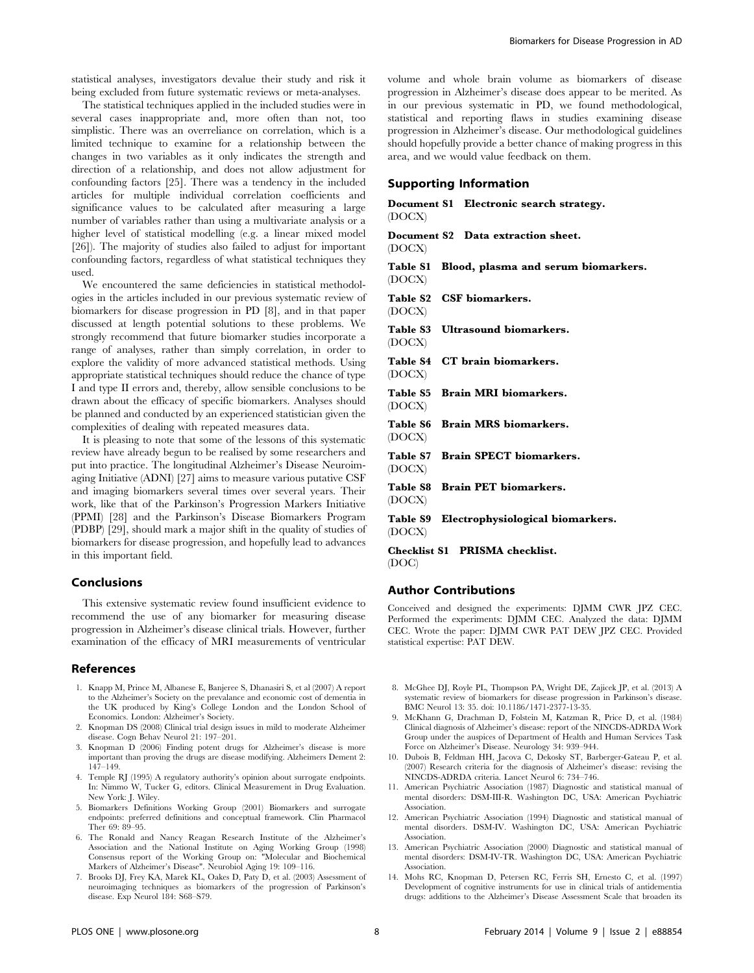statistical analyses, investigators devalue their study and risk it being excluded from future systematic reviews or meta-analyses.

The statistical techniques applied in the included studies were in several cases inappropriate and, more often than not, too simplistic. There was an overreliance on correlation, which is a limited technique to examine for a relationship between the changes in two variables as it only indicates the strength and direction of a relationship, and does not allow adjustment for confounding factors [25]. There was a tendency in the included articles for multiple individual correlation coefficients and significance values to be calculated after measuring a large number of variables rather than using a multivariate analysis or a higher level of statistical modelling (e.g. a linear mixed model [26]). The majority of studies also failed to adjust for important confounding factors, regardless of what statistical techniques they used.

We encountered the same deficiencies in statistical methodologies in the articles included in our previous systematic review of biomarkers for disease progression in PD [8], and in that paper discussed at length potential solutions to these problems. We strongly recommend that future biomarker studies incorporate a range of analyses, rather than simply correlation, in order to explore the validity of more advanced statistical methods. Using appropriate statistical techniques should reduce the chance of type I and type II errors and, thereby, allow sensible conclusions to be drawn about the efficacy of specific biomarkers. Analyses should be planned and conducted by an experienced statistician given the complexities of dealing with repeated measures data.

It is pleasing to note that some of the lessons of this systematic review have already begun to be realised by some researchers and put into practice. The longitudinal Alzheimer's Disease Neuroimaging Initiative (ADNI) [27] aims to measure various putative CSF and imaging biomarkers several times over several years. Their work, like that of the Parkinson's Progression Markers Initiative (PPMI) [28] and the Parkinson's Disease Biomarkers Program (PDBP) [29], should mark a major shift in the quality of studies of biomarkers for disease progression, and hopefully lead to advances in this important field.

# Conclusions

This extensive systematic review found insufficient evidence to recommend the use of any biomarker for measuring disease progression in Alzheimer's disease clinical trials. However, further examination of the efficacy of MRI measurements of ventricular

#### References

- 1. Knapp M, Prince M, Albanese E, Banjeree S, Dhanasiri S, et al (2007) A report to the Alzheimer's Society on the prevalance and economic cost of dementia in the UK produced by King's College London and the London School of Economics. London: Alzheimer's Society.
- 2. Knopman DS (2008) Clinical trial design issues in mild to moderate Alzheimer disease. Cogn Behav Neurol 21: 197–201.
- 3. Knopman D (2006) Finding potent drugs for Alzheimer's disease is more important than proving the drugs are disease modifying. Alzheimers Dement 2: 147–149.
- 4. Temple RJ (1995) A regulatory authority's opinion about surrogate endpoints. In: Nimmo W, Tucker G, editors. Clinical Measurement in Drug Evaluation. New York: J. Wiley.
- 5. Biomarkers Definitions Working Group (2001) Biomarkers and surrogate endpoints: preferred definitions and conceptual framework. Clin Pharmacol Ther 69: 89–95.
- 6. The Ronald and Nancy Reagan Research Institute of the Alzheimer's Association and the National Institute on Aging Working Group (1998) Consensus report of the Working Group on: "Molecular and Biochemical Markers of Alzheimer's Disease". Neurobiol Aging 19: 109–116.
- 7. Brooks DJ, Frey KA, Marek KL, Oakes D, Paty D, et al. (2003) Assessment of neuroimaging techniques as biomarkers of the progression of Parkinson's disease. Exp Neurol 184: S68–S79.

volume and whole brain volume as biomarkers of disease progression in Alzheimer's disease does appear to be merited. As in our previous systematic in PD, we found methodological, statistical and reporting flaws in studies examining disease progression in Alzheimer's disease. Our methodological guidelines should hopefully provide a better chance of making progress in this area, and we would value feedback on them.

#### Supporting Information

|        | Document S1 Electronic search strategy. |  |
|--------|-----------------------------------------|--|
| (DOCX) |                                         |  |

Document S2 Data extraction sheet. (DOCX)

Table S1 Blood, plasma and serum biomarkers. (DOCX)

Table S2 CSF biomarkers.

(DOCX)

Table S3 Ultrasound biomarkers. (DOCX)

Table S4 CT brain biomarkers. (DOCX)

Table S5 Brain MRI biomarkers. (DOCX)

Table S6 Brain MRS biomarkers. (DOCX)

Table S7 Brain SPECT biomarkers. (DOCX)

Table S8 Brain PET biomarkers. (DOCX)

Table S9 Electrophysiological biomarkers. (DOCX)

Checklist S1 PRISMA checklist. (DOC)

#### Author Contributions

Conceived and designed the experiments: DJMM CWR JPZ CEC. Performed the experiments: DJMM CEC. Analyzed the data: DJMM CEC. Wrote the paper: DJMM CWR PAT DEW JPZ CEC. Provided statistical expertise: PAT DEW.

- 8. McGhee DJ, Royle PL, Thompson PA, Wright DE, Zajicek JP, et al. (2013) A systematic review of biomarkers for disease progression in Parkinson's disease. BMC Neurol 13: 35. doi: 10.1186/1471-2377-13-35.
- 9. McKhann G, Drachman D, Folstein M, Katzman R, Price D, et al. (1984) Clinical diagnosis of Alzheimer's disease: report of the NINCDS-ADRDA Work Group under the auspices of Department of Health and Human Services Task Force on Alzheimer's Disease. Neurology 34: 939–944.
- 10. Dubois B, Feldman HH, Jacova C, Dekosky ST, Barberger-Gateau P, et al. (2007) Research criteria for the diagnosis of Alzheimer's disease: revising the NINCDS-ADRDA criteria. Lancet Neurol 6: 734–746.
- 11. American Psychiatric Association (1987) Diagnostic and statistical manual of mental disorders: DSM-III-R. Washington DC, USA: American Psychiatric **Association**
- 12. American Psychiatric Association (1994) Diagnostic and statistical manual of mental disorders. DSM-IV. Washington DC, USA: American Psychiatric Association.
- 13. American Psychiatric Association (2000) Diagnostic and statistical manual of mental disorders: DSM-IV-TR. Washington DC, USA: American Psychiatric Association.
- 14. Mohs RC, Knopman D, Petersen RC, Ferris SH, Ernesto C, et al. (1997) Development of cognitive instruments for use in clinical trials of antidementia drugs: additions to the Alzheimer's Disease Assessment Scale that broaden its